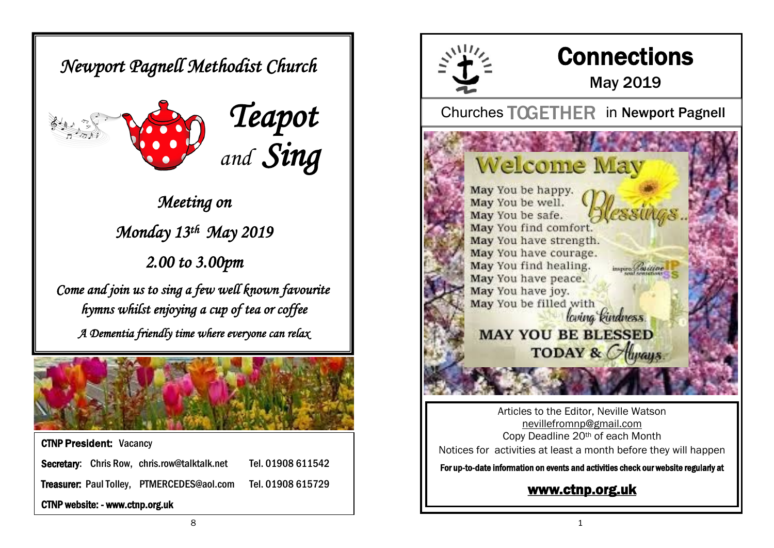*Newport Pagnell Methodist Church* 





*Meeting on Monday 13th May 2019 2.00 to 3.00pm* 

*Come and join us to sing a few well known favourite hymns whilst enjoying a cup of tea or coffee A Dementia friendly time where everyone can relax* 



CTNP President: Vacancy Secretary: Chris Row, chris.row@talktalk.net Tel. 01908 611542 Treasurer: Paul Tolley, PTMERCEDES@aol.com Tel. 01908 615729 CTNP website: - www.ctnp.org.uk



Articles to the Editor, Neville Watson [nevillefromnp@gmail.com](mailto:nevillefromnp@gmail.com) Copy Deadline 20th of each Month Notices for activities at least a month before they will happen

For up-to-date information on events and activities check our website regularly at

### [www.ctnp.org.uk](http://www.ctnp.org.uk)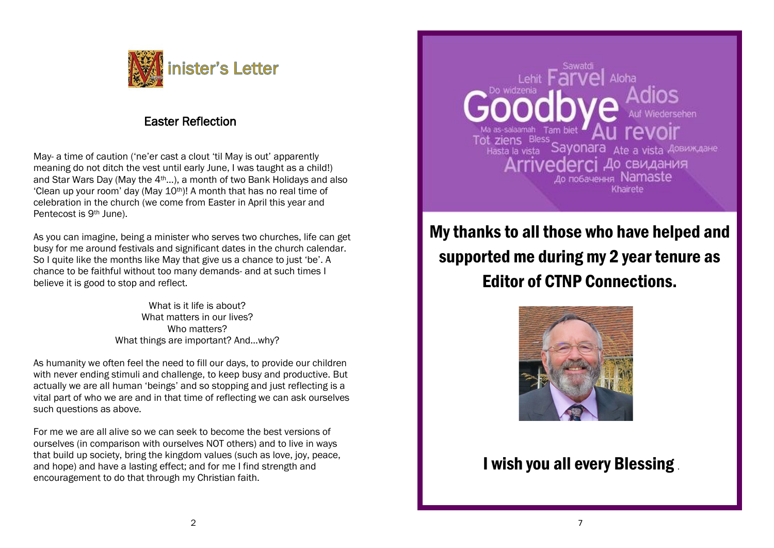

#### Easter Reflection

May- a time of caution ('ne'er cast a clout 'til May is out' apparently meaning do not ditch the vest until early June, I was taught as a child!) and Star Wars Day (May the 4th…), a month of two Bank Holidays and also 'Clean up your room' day (May  $10^{th}$ )! A month that has no real time of celebration in the church (we come from Easter in April this year and Pentecost is 9th June).

As you can imagine, being a minister who serves two churches, life can get busy for me around festivals and significant dates in the church calendar. So I quite like the months like May that give us a chance to just 'be'. A chance to be faithful without too many demands- and at such times I believe it is good to stop and reflect.

> What is it life is about? What matters in our lives? Who matters? What things are important? And…why?

As humanity we often feel the need to fill our days, to provide our children with never ending stimuli and challenge, to keep busy and productive. But actually we are all human 'beings' and so stopping and just reflecting is a vital part of who we are and in that time of reflecting we can ask ourselves such questions as above.

For me we are all alive so we can seek to become the best versions of ourselves (in comparison with ourselves NOT others) and to live in ways that build up society, bring the kingdom values (such as love, joy, peace, and hope) and have a lasting effect; and for me I find strength and encouragement to do that through my Christian faith.

Tot ziens Bless Sayonara Ate a vista Довиждане До свидания до побачення Namaste Khairete

My thanks to all those who have helped and supported me during my 2 year tenure as Editor of CTNP Connections.



## I wish you all every Blessing .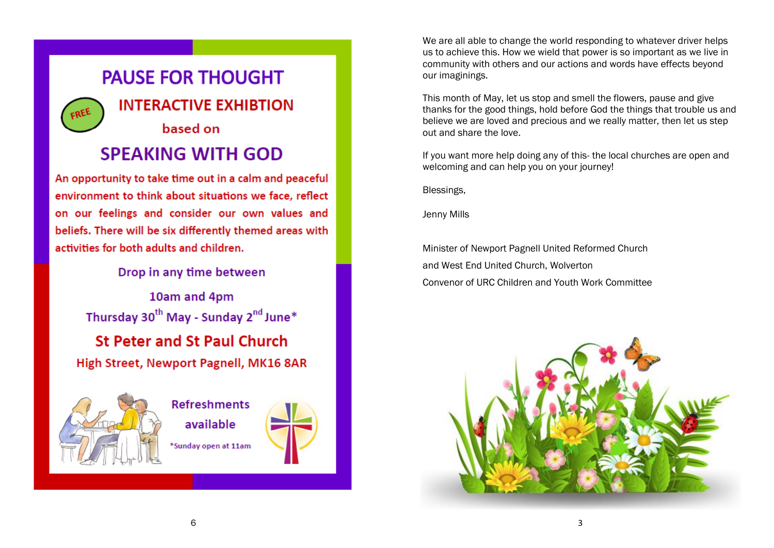## **PAUSE FOR THOUGHT**

**INTERACTIVE EXHIBTION** 

# based on

## **SPEAKING WITH GOD**

An opportunity to take time out in a calm and peaceful environment to think about situations we face, reflect on our feelings and consider our own values and beliefs. There will be six differently themed areas with activities for both adults and children.

Drop in any time between

10am and 4pm Thursday 30<sup>th</sup> May - Sunday 2<sup>nd</sup> June\* **St Peter and St Paul Church** High Street, Newport Pagnell, MK16 8AR



**Refreshments** available \*Sunday open at 11am



This month of May, let us stop and smell the flowers, pause and give thanks for the good things, hold before God the things that trouble us and believe we are loved and precious and we really matter, then let us step out and share the love.

If you want more help doing any of this- the local churches are open and welcoming and can help you on your journey!

Blessings,

Jenny Mills

Minister of Newport Pagnell United Reformed Church and West End United Church, Wolverton Convenor of URC Children and Youth Work Committee